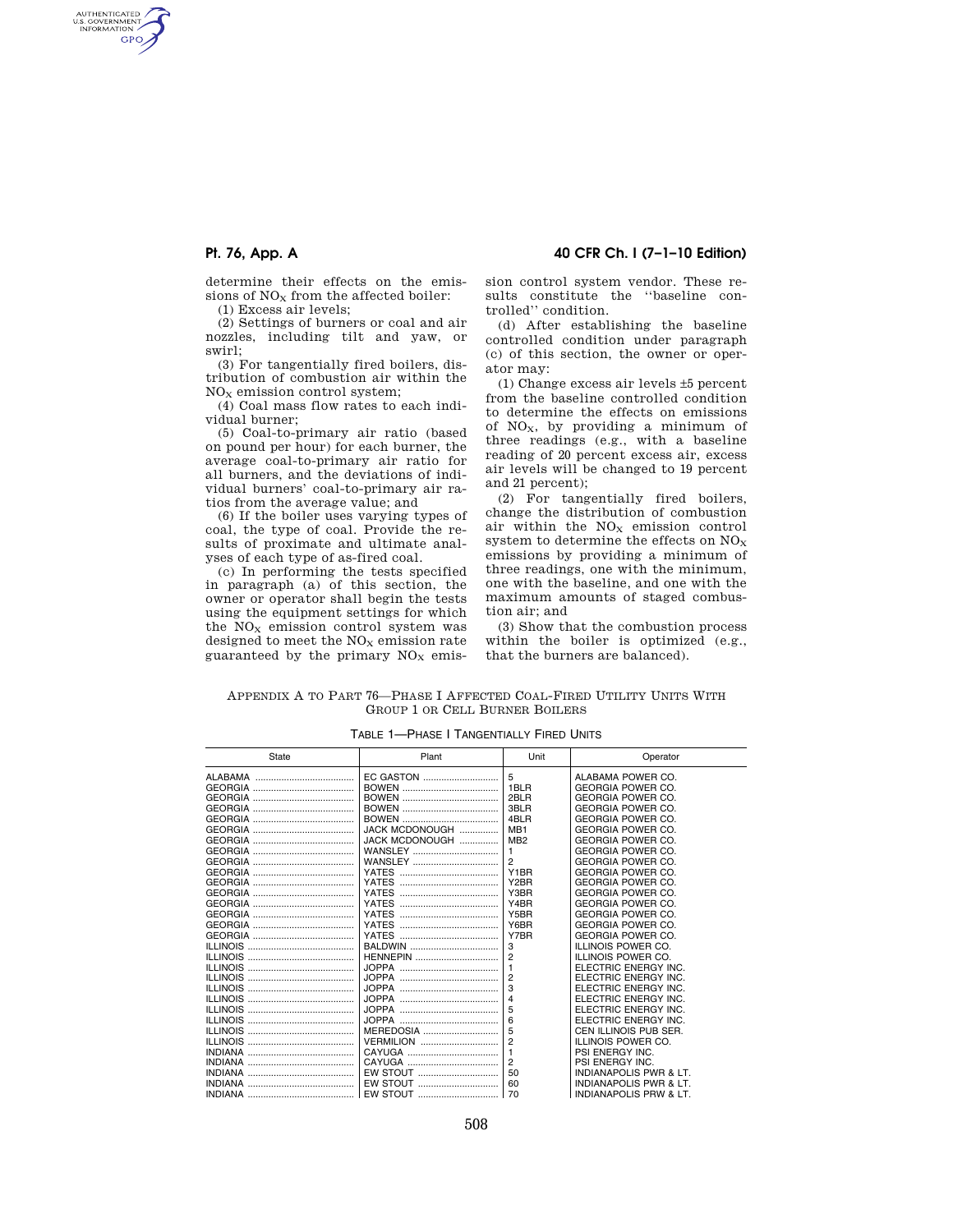AUTHENTICATED<br>U.S. GOVERNMENT<br>INFORMATION **GPO** 

> determine their effects on the emissions of  $NO<sub>x</sub>$  from the affected boiler:

(1) Excess air levels;

(2) Settings of burners or coal and air nozzles, including tilt and yaw, or swirl;

(3) For tangentially fired boilers, distribution of combustion air within the  $NO<sub>X</sub>$  emission control system;

(4) Coal mass flow rates to each individual burner;

(5) Coal-to-primary air ratio (based on pound per hour) for each burner, the average coal-to-primary air ratio for all burners, and the deviations of individual burners' coal-to-primary air ratios from the average value; and

(6) If the boiler uses varying types of coal, the type of coal. Provide the results of proximate and ultimate analyses of each type of as-fired coal.

(c) In performing the tests specified in paragraph (a) of this section, the owner or operator shall begin the tests using the equipment settings for which the  $NO<sub>x</sub>$  emission control system was designed to meet the  $NO<sub>x</sub>$  emission rate guaranteed by the primary  $NO<sub>x</sub>$  emis-

**Pt. 76, App. A 40 CFR Ch. I (7–1–10 Edition)** 

sion control system vendor. These results constitute the ''baseline controlled'' condition.

(d) After establishing the baseline controlled condition under paragraph (c) of this section, the owner or operator may:

(1) Change excess air levels ±5 percent from the baseline controlled condition to determine the effects on emissions of  $NO<sub>x</sub>$ , by providing a minimum of three readings (e.g., with a baseline reading of 20 percent excess air, excess air levels will be changed to 19 percent and 21 percent);

(2) For tangentially fired boilers, change the distribution of combustion air within the  $NO<sub>x</sub>$  emission control system to determine the effects on  $NO<sub>x</sub>$ emissions by providing a minimum of three readings, one with the minimum, one with the baseline, and one with the maximum amounts of staged combustion air; and

(3) Show that the combustion process within the boiler is optimized (e.g., that the burners are balanced).

| APPENDIX A TO PART 76—PHASE I AFFECTED COAL-FIRED UTILITY UNITS WITH |  |  |
|----------------------------------------------------------------------|--|--|
| <b>GROUP 1 OR CELL BURNER BOILERS</b>                                |  |  |

| State | Plant            | Unit              | Operator                 |
|-------|------------------|-------------------|--------------------------|
|       | EC GASTON        | 5                 | ALABAMA POWER CO.        |
|       |                  | 1BLR              | <b>GEORGIA POWER CO.</b> |
|       |                  | 2BLR              | <b>GEORGIA POWER CO.</b> |
|       |                  | 3BLR              | <b>GEORGIA POWER CO.</b> |
|       |                  | 4BLR              | <b>GEORGIA POWER CO.</b> |
|       | JACK MCDONOUGH   | MB <sub>1</sub>   | <b>GEORGIA POWER CO.</b> |
|       | JACK MCDONOUGH   | MB <sub>2</sub>   | <b>GEORGIA POWER CO.</b> |
|       | WANSLEY          | 1                 | <b>GEORGIA POWER CO.</b> |
|       | <b>WANSLEY</b>   | 2                 | <b>GEORGIA POWER CO.</b> |
|       | <b>YATES</b>     | Y1BR              | <b>GEORGIA POWER CO.</b> |
|       | <b>YATES</b>     | Y <sub>2</sub> BR | <b>GEORGIA POWER CO.</b> |
|       | <b>YATES</b>     | Y3BR              | <b>GEORGIA POWER CO.</b> |
|       | <b>YATES</b>     | Y4BR              | <b>GEORGIA POWER CO.</b> |
|       | <b>YATES</b>     | Y5BR              | <b>GEORGIA POWER CO.</b> |
|       |                  | Y6BR              | <b>GEORGIA POWER CO.</b> |
|       |                  | Y7BR              | <b>GEORGIA POWER CO.</b> |
|       | <b>BALDWIN</b>   | 3                 | ILLINOIS POWER CO.       |
|       | <b>HENNEPIN</b>  | $\overline{2}$    | ILLINOIS POWER CO.       |
|       |                  | $\mathbf{1}$      | ELECTRIC ENERGY INC.     |
|       |                  | $\overline{2}$    | ELECTRIC ENERGY INC.     |
|       |                  | 3                 | ELECTRIC ENERGY INC.     |
|       |                  | $\overline{A}$    | ELECTRIC ENERGY INC.     |
|       |                  | 5                 | ELECTRIC ENERGY INC.     |
|       |                  | 6                 | ELECTRIC ENERGY INC.     |
|       | <b>MEREDOSIA</b> | 5                 | CEN ILLINOIS PUB SER.    |
|       | <b>VERMILION</b> | $\overline{2}$    | ILLINOIS POWER CO.       |
|       |                  | $\mathbf{1}$      | PSI ENERGY INC.          |
|       |                  | $\overline{2}$    | PSI ENERGY INC.          |
|       | EW STOUT         | 50                | INDIANAPOLIS PWR & LT.   |
|       | EW STOUT         | 60                | INDIANAPOLIS PWR & LT.   |
|       | EW STOUT         | 70                | INDIANAPOLIS PRW & LT.   |

TABLE 1—PHASE I TANGENTIALLY FIRED UNITS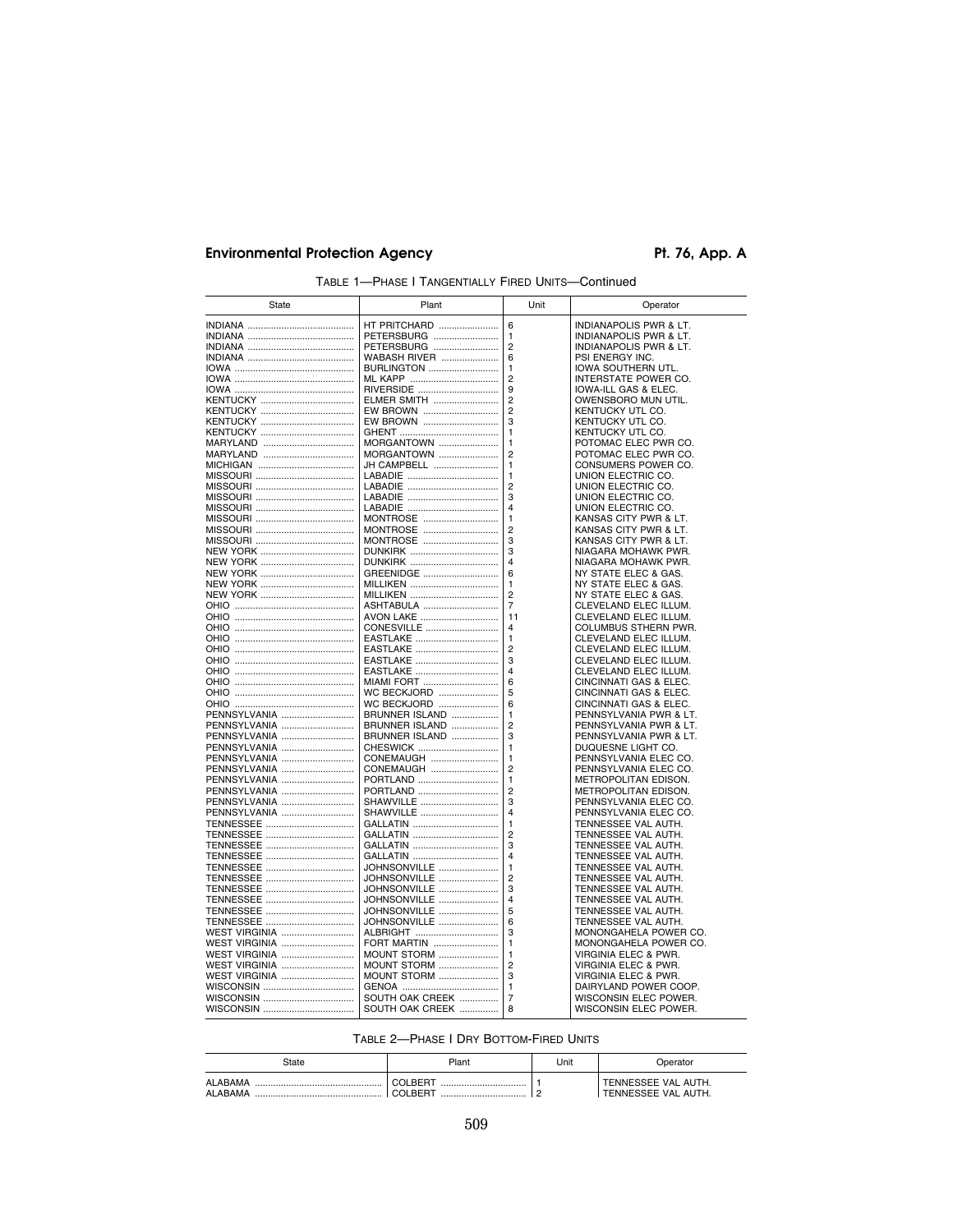# Environmental Protection Agency **Pt. 76, App. A**

| State                        | Plant                      | Unit           | Operator                                     |
|------------------------------|----------------------------|----------------|----------------------------------------------|
|                              | <b>HT PRITCHARD </b>       | 6              | INDIANAPOLIS PWR & LT.                       |
|                              | PETERSBURG                 | 1              | INDIANAPOLIS PWR & LT.                       |
|                              | PETERSBURG                 | 2              | INDIANAPOLIS PWR & LT.                       |
|                              | <b>WABASH RIVER </b>       | 6              | PSI ENERGY INC.                              |
|                              | <b>BURLINGTON</b>          | 1              | IOWA SOUTHERN UTL.                           |
|                              |                            | $\overline{c}$ | INTERSTATE POWER CO.                         |
|                              | RIVERSIDE                  | 9              | IOWA-ILL GAS & ELEC.                         |
|                              | ELMER SMITH                | $\overline{2}$ | OWENSBORO MUN UTIL.                          |
|                              | EW BROWN                   | $\overline{2}$ | KENTUCKY UTL CO.                             |
|                              | EW BROWN                   | 3              | KENTUCKY UTL CO.                             |
|                              |                            | 1              | KENTUCKY UTL CO.                             |
| MARYLAND                     | <b>MORGANTOWN</b>          | 1              | POTOMAC ELEC PWR CO.                         |
|                              | MORGANTOWN                 | $\overline{2}$ | POTOMAC ELEC PWR CO.                         |
|                              | JH CAMPBELL                | 1<br>1         | CONSUMERS POWER CO.<br>UNION ELECTRIC CO.    |
|                              | LABADIE                    | 2              | UNION ELECTRIC CO.                           |
|                              |                            | 3              | UNION ELECTRIC CO.                           |
|                              |                            | 4              | UNION ELECTRIC CO.                           |
|                              | MONTROSE                   | 1              | KANSAS CITY PWR & LT.                        |
|                              | MONTROSE                   | $\overline{2}$ | KANSAS CITY PWR & LT.                        |
|                              | MONTROSE                   | 3              | KANSAS CITY PWR & LT.                        |
|                              |                            | 3              | NIAGARA MOHAWK PWR.                          |
|                              |                            | 4              | NIAGARA MOHAWK PWR.                          |
|                              | GREENIDGE                  | 6              | NY STATE ELEC & GAS.                         |
|                              | <b>MILLIKEN</b>            | 1              | NY STATE ELEC & GAS.                         |
|                              | MILLIKEN                   | $\overline{2}$ | NY STATE ELEC & GAS.                         |
|                              | ASHTABULA                  | $\overline{7}$ | CLEVELAND ELEC ILLUM.                        |
|                              | AVON LAKE                  | 11             | CLEVELAND ELEC ILLUM.                        |
|                              | CONESVILLE                 | 4              | COLUMBUS STHERN PWR.                         |
|                              | EASTLAKE                   | 1              | CLEVELAND ELEC ILLUM.                        |
|                              | EASTLAKE                   | 2              | CLEVELAND ELEC ILLUM.                        |
|                              | EASTLAKE                   | 3              | CLEVELAND ELEC ILLUM.                        |
|                              | EASTLAKE                   | 4              | CLEVELAND ELEC ILLUM.                        |
|                              | <b>MIAMI FORT</b>          | 6              | CINCINNATI GAS & ELEC.                       |
|                              | WC BECKJORD                | 5              | CINCINNATI GAS & ELEC.                       |
|                              | WC BECKJORD                | 6              | CINCINNATI GAS & ELEC.                       |
| PENNSYLVANIA                 | BRUNNER ISLAND             | 1              | PENNSYLVANIA PWR & LT.                       |
| PENNSYLVANIA                 | BRUNNER ISLAND             | $\overline{2}$ | PENNSYLVANIA PWR & LT.                       |
| PENNSYLVANIA<br>PENNSYLVANIA | BRUNNER ISLAND<br>CHESWICK | 3<br>1         | PENNSYLVANIA PWR & LT.<br>DUQUESNE LIGHT CO. |
|                              | CONEMAUGH                  | 1              | PENNSYLVANIA ELEC CO.                        |
| PENNSYLVANIA<br>PENNSYLVANIA | CONEMAUGH                  | 2              | PENNSYLVANIA ELEC CO.                        |
| PENNSYLVANIA                 | PORTLAND                   | 1              | METROPOLITAN EDISON.                         |
| PENNSYLVANIA                 | PORTLAND                   | $\overline{2}$ | METROPOLITAN EDISON.                         |
| PENNSYLVANIA                 | SHAWVILLE                  | 3              | PENNSYLVANIA ELEC CO.                        |
| PENNSYLVANIA                 | SHAWVILLE                  | 4              | PENNSYLVANIA ELEC CO.                        |
|                              | GALLATIN                   | 1              | TENNESSEE VAL AUTH.                          |
|                              | GALLATIN                   | 2              | TENNESSEE VAL AUTH.                          |
|                              | GALLATIN                   | 3              | TENNESSEE VAL AUTH.                          |
|                              | GALLATIN                   | 4              | TENNESSEE VAL AUTH.                          |
|                              | JOHNSONVILLE               | $\mathbf{1}$   | TENNESSEE VAL AUTH.                          |
|                              | JOHNSONVILLE               | $\overline{2}$ | TENNESSEE VAL AUTH.                          |
|                              | JOHNSONVILLE               | 3              | TENNESSEE VAL AUTH.                          |
|                              | JOHNSONVILLE               | 4              | TENNESSEE VAL AUTH.                          |
|                              | JOHNSONVILLE               | 5              | TENNESSEE VAL AUTH.                          |
|                              | JOHNSONVILLE               | 6              | TENNESSEE VAL AUTH.                          |
| <b>WEST VIRGINIA </b>        | ALBRIGHT                   | 3              | MONONGAHELA POWER CO.                        |
| <b>WEST VIRGINIA </b>        | FORT MARTIN                | 1              | MONONGAHELA POWER CO.                        |
| WEST VIRGINIA                | <b>MOUNT STORM </b>        | 1              | VIRGINIA ELEC & PWR.                         |
| WEST VIRGINIA                | <b>MOUNT STORM </b>        | $\overline{c}$ | VIRGINIA ELEC & PWR.                         |
| <b>WEST VIRGINIA </b>        | <b>MOUNT STORM </b>        | 3              | VIRGINIA ELEC & PWR.                         |
|                              |                            | 1              | DAIRYLAND POWER COOP.                        |
|                              | SOUTH OAK CREEK            | $\overline{7}$ | WISCONSIN ELEC POWER.                        |
|                              | SOUTH OAK CREEK            | 8              | WISCONSIN ELEC POWER.                        |

TABLE 1—PHASE I TANGENTIALLY FIRED UNITS—Continued

|  | TABLE 2-PHASE   DRY BOTTOM-FIRED UNITS |
|--|----------------------------------------|
|--|----------------------------------------|

| State              | Plant              | Unit | Operator                                   |
|--------------------|--------------------|------|--------------------------------------------|
| ALABAMA<br>ALABAMA | COLBERT<br>COLBERT |      | TENNESSEE VAL AUTH.<br>TENNESSEE VAL AUTH. |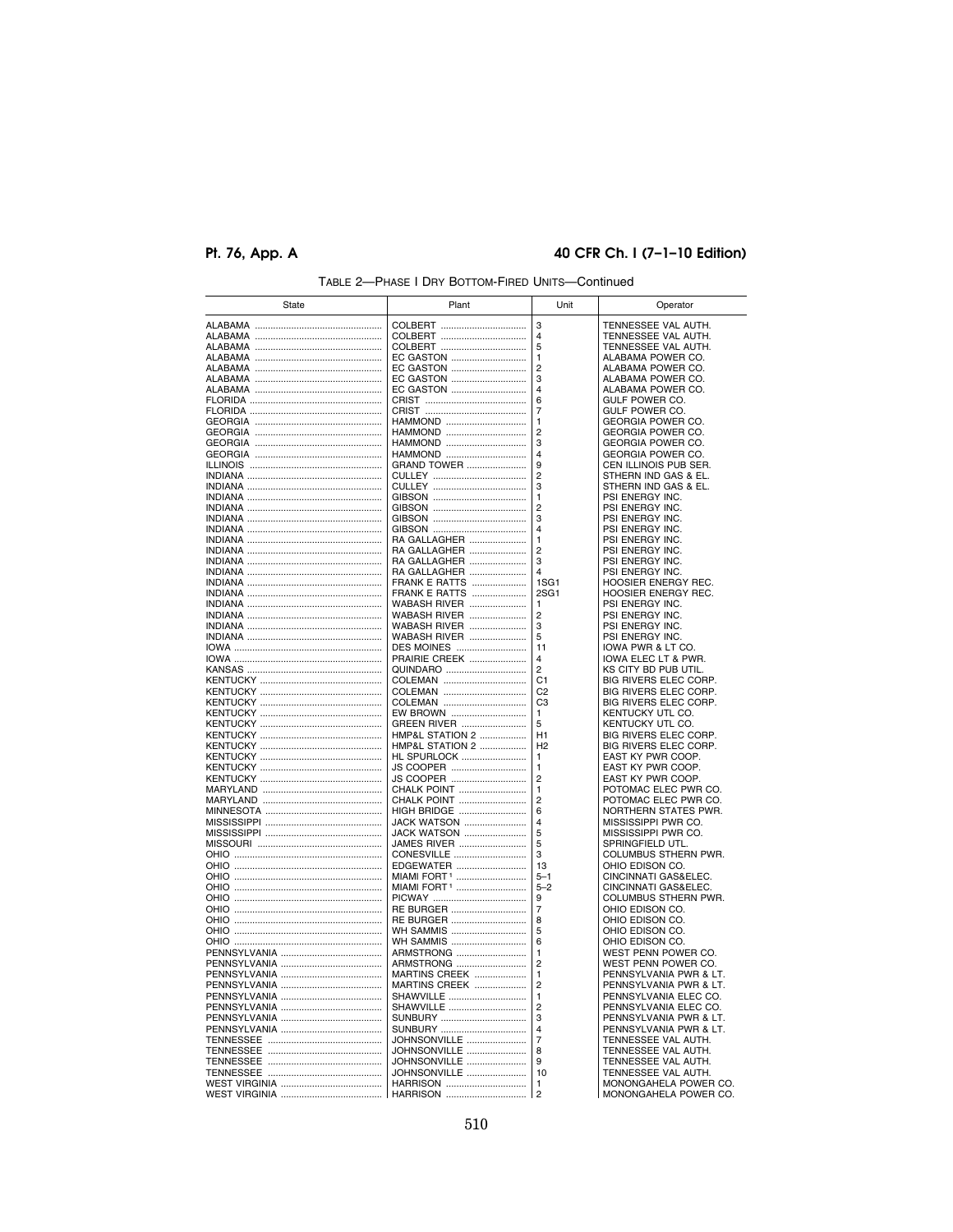## **Pt. 76, App. A 40 CFR Ch. I (7–1–10 Edition)**

| State                 | Plant                        | Unit                             | Operator                                       |
|-----------------------|------------------------------|----------------------------------|------------------------------------------------|
|                       | COLBERT                      | 3                                | TENNESSEE VAL AUTH.                            |
|                       | COLBERT                      | 4                                | TENNESSEE VAL AUTH.                            |
|                       | COLBERT                      | 5                                | TENNESSEE VAL AUTH.                            |
|                       | EC GASTON                    | $\mathbf{1}$                     | ALABAMA POWER CO.                              |
|                       | EC GASTON                    | $\overline{2}$                   | ALABAMA POWER CO.                              |
|                       | EC GASTON                    | 3                                | ALABAMA POWER CO.                              |
|                       | EC GASTON                    | 4                                | ALABAMA POWER CO.                              |
|                       |                              | 6                                | GULF POWER CO.                                 |
|                       | <br>CRIST                    | 7                                | GULF POWER CO.                                 |
|                       | HAMMOND                      | 1                                | GEORGIA POWER CO.                              |
|                       | HAMMOND                      | $\overline{c}$<br>3              | GEORGIA POWER CO.                              |
|                       | HAMMOND<br>HAMMOND           | 4                                | GEORGIA POWER CO.<br>GEORGIA POWER CO.         |
|                       | GRAND TOWER                  | 9                                | CEN ILLINOIS PUB SER.                          |
|                       |                              | $\overline{c}$                   | STHERN IND GAS & EL.                           |
|                       |                              | 3                                | STHERN IND GAS & EL.                           |
|                       |                              | 1                                | PSI ENERGY INC.                                |
|                       |                              | 2                                | PSI ENERGY INC.                                |
|                       |                              | 3                                | PSI ENERGY INC.                                |
|                       |                              | 4                                | PSI ENERGY INC.                                |
|                       | RA GALLAGHER                 | 1                                | PSI ENERGY INC.                                |
|                       | RA GALLAGHER                 | $\overline{2}$<br>3              | PSI ENERGY INC.                                |
|                       | RA GALLAGHER<br>RA GALLAGHER | $\overline{\mathbf{A}}$          | PSI ENERGY INC.<br>PSI ENERGY INC.             |
|                       | <b>FRANK E RATTS </b>        | 1S <sub>G</sub> 1                | HOOSIER ENERGY REC.                            |
|                       | FRANK E RATTS                | 2SG1                             | HOOSIER ENERGY REC.                            |
|                       | WABASH RIVER                 | 1                                | PSI ENERGY INC.                                |
|                       | WABASH RIVER                 | 2                                | PSI ENERGY INC.                                |
|                       | WABASH RIVER                 | 3                                | PSI ENERGY INC.                                |
|                       | <b>WABASH RIVER </b>         | 5                                | PSI ENERGY INC.                                |
|                       | DES MOINES                   | 11                               | IOWA PWR & LT CO.                              |
|                       | PRAIRIE CREEK                | $\overline{4}$                   | IOWA ELEC LT & PWR.                            |
|                       | QUINDARO                     | $\overline{2}$                   | KS CITY BD PUB UTIL.                           |
|                       | COLEMAN                      | C <sub>1</sub><br>C <sub>2</sub> | BIG RIVERS ELEC CORP.                          |
|                       | COLEMAN<br>COLEMAN           | C <sub>3</sub>                   | BIG RIVERS ELEC CORP.<br>BIG RIVERS ELEC CORP. |
|                       | EW BROWN                     | 1                                | KENTUCKY UTL CO.                               |
|                       | GREEN RIVER                  | 5                                | KENTUCKY UTL CO.                               |
|                       | HMP&L STATION 2              | H1                               | BIG RIVERS ELEC CORP.                          |
|                       | HMP&L STATION 2              | H <sub>2</sub>                   | BIG RIVERS ELEC CORP.                          |
|                       | HL SPURLOCK                  | 1                                | EAST KY PWR COOP.                              |
|                       | JS COOPER                    | 1                                | EAST KY PWR COOP.                              |
|                       | JS COOPER                    | $\overline{c}$<br>1              | EAST KY PWR COOP.<br>POTOMAC ELEC PWR CO.      |
|                       | CHALK POINT<br>CHALK POINT   | $\overline{c}$                   | POTOMAC ELEC PWR CO.                           |
|                       | HIGH BRIDGE                  | 6                                | NORTHERN STATES PWR.                           |
|                       | JACK WATSON                  | 4                                | MISSISSIPPI PWR CO.                            |
|                       | JACK WATSON                  | 5                                | MISSISSIPPI PWR CO.                            |
|                       | JAMES RIVER                  | 5                                | SPRINGFIELD UTL.                               |
|                       | CONESVILLE                   | 3                                | COLUMBUS STHERN PWR.                           |
|                       | EDGEWATER                    | 13                               | OHIO EDISON CO.                                |
|                       | MIAMI FORT <sup>1</sup>      | $5 - 1$                          | CINCINNATI GAS&ELEC.                           |
|                       | MIAMI FORT <sup>1</sup>      | $5 - 2$                          | CINCINNATI GAS&ELEC.                           |
|                       |                              | 9                                | COLUMBUS STHERN PWR.                           |
|                       | RE BURGER<br>RE BURGER       | 7<br>8                           | OHIO EDISON CO.<br>OHIO EDISON CO.             |
|                       | WH SAMMIS                    | 5                                | OHIO EDISON CO.                                |
|                       | WH SAMMIS                    | 6                                | OHIO EDISON CO.                                |
|                       | ARMSTRONG                    | 1                                | WEST PENN POWER CO.                            |
|                       | ARMSTRONG                    | $\overline{2}$                   | WEST PENN POWER CO.                            |
|                       | <b>MARTINS CREEK </b>        | $\mathbf{1}$                     | PENNSYLVANIA PWR & LT.                         |
|                       | MARTINS CREEK                | 2                                | PENNSYLVANIA PWR & LT.                         |
|                       | SHAWVILLE                    | 1                                | PENNSYLVANIA ELEC CO.                          |
|                       | SHAWVILLE                    | $\overline{2}$                   | PENNSYLVANIA ELEC CO.                          |
|                       | SUNBURY                      | 3                                | PENNSYLVANIA PWR & LT.                         |
|                       | SUNBURY                      | $\overline{4}$                   | PENNSYLVANIA PWR & LT.                         |
|                       | JOHNSONVILLE                 | $\overline{7}$<br>8              | TENNESSEE VAL AUTH.                            |
|                       | JOHNSONVILLE<br>JOHNSONVILLE | 9                                | TENNESSEE VAL AUTH.<br>TENNESSEE VAL AUTH.     |
|                       | JOHNSONVILLE                 | 10                               | TENNESSEE VAL AUTH.                            |
|                       | HARRISON                     | 1                                | MONONGAHELA POWER CO.                          |
| <b>WEST VIRGINIA </b> | HARRISON                     | 2                                | MONONGAHELA POWER CO.                          |

## TABLE 2—PHASE I DRY BOTTOM-FIRED UNITS—Continued